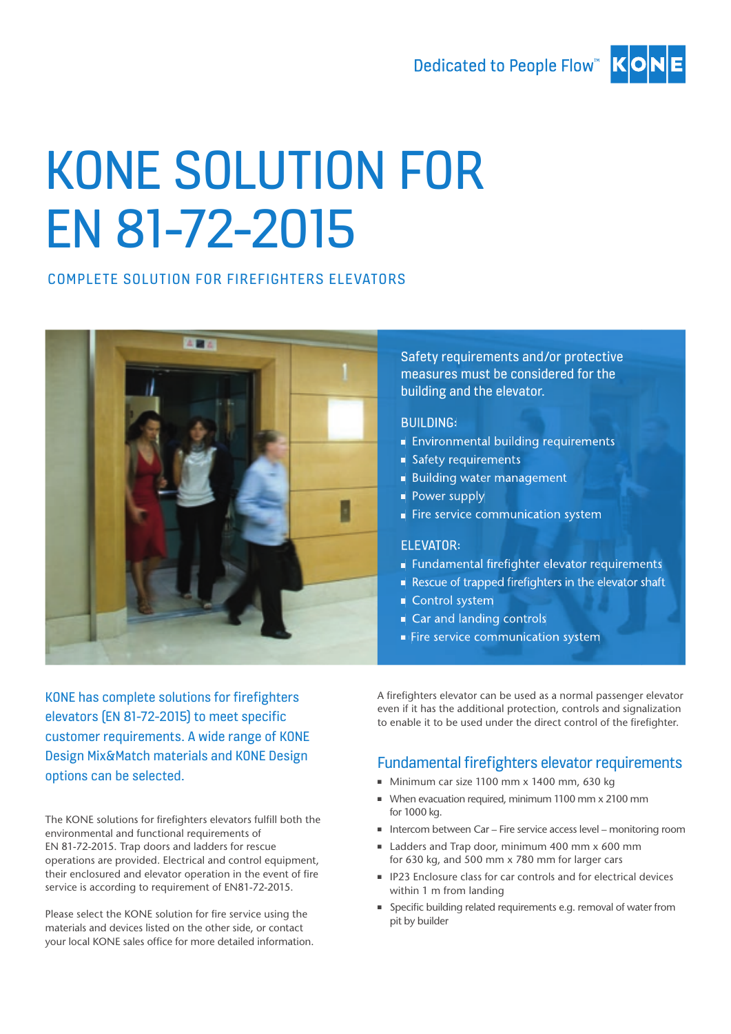## Dedicated to People Flow™ KO



# KONE SOLUTION FOR EN 81-72-2015

#### COMPLETE SOLUTION FOR FIREFIGHTERS ELEVATORS



Safety requirements and/or protective measures must be considered for the building and the elevator.

#### BUILDING:

- Environmental building requirements
- Safety requirements
- Building water management
- Power supply
- Fire service communication system

#### ELEVATOR:

- Fundamental firefighter elevator requirements
- Rescue of trapped firefighters in the elevator shaft
- Control system
- Car and landing controls
- Fire service communication system

KONE has complete solutions for firefighters elevators (EN 81-72-2015) to meet specific customer requirements. A wide range of KONE Design Mix&Match materials and KONE Design options can be selected.

The KONE solutions for firefighters elevators fulfill both the environmental and functional requirements of EN 81-72-2015. Trap doors and ladders for rescue operations are provided. Electrical and control equipment, their enclosured and elevator operation in the event of fire service is according to requirement of EN81-72-2015.

Please select the KONE solution for fire service using the materials and devices listed on the other side, or contact your local KONE sales office for more detailed information. A firefighters elevator can be used as a normal passenger elevator even if it has the additional protection, controls and signalization to enable it to be used under the direct control of the firefighter.

## Fundamental firefighters elevator requirements

- Minimum car size 1100 mm x 1400 mm, 630 kg
- When evacuation required, minimum 1100 mm x 2100 mm for 1000 kg.
- Intercom between Car Fire service access level monitoring room
- Ladders and Trap door, minimum 400 mm x 600 mm for 630 kg, and 500 mm x 780 mm for larger cars
- IP23 Enclosure class for car controls and for electrical devices within 1 m from landing
- Specific building related requirements e.g. removal of water from pit by builder